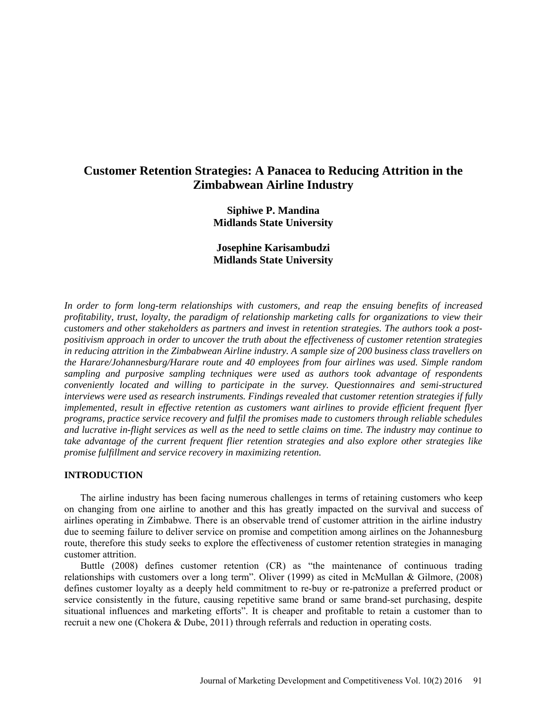# **Customer Retention Strategies: A Panacea to Reducing Attrition in the Zimbabwean Airline Industry**

**Siphiwe P. Mandina Midlands State University**

**Josephine Karisambudzi Midlands State University**

*In order to form long-term relationships with customers, and reap the ensuing benefits of increased profitability, trust, loyalty, the paradigm of relationship marketing calls for organizations to view their customers and other stakeholders as partners and invest in retention strategies. The authors took a postpositivism approach in order to uncover the truth about the effectiveness of customer retention strategies in reducing attrition in the Zimbabwean Airline industry. A sample size of 200 business class travellers on the Harare/Johannesburg/Harare route and 40 employees from four airlines was used. Simple random sampling and purposive sampling techniques were used as authors took advantage of respondents conveniently located and willing to participate in the survey. Questionnaires and semi-structured interviews were used as research instruments. Findings revealed that customer retention strategies if fully implemented, result in effective retention as customers want airlines to provide efficient frequent flyer programs, practice service recovery and fulfil the promises made to customers through reliable schedules and lucrative in-flight services as well as the need to settle claims on time. The industry may continue to take advantage of the current frequent flier retention strategies and also explore other strategies like promise fulfillment and service recovery in maximizing retention.* 

## **INTRODUCTION**

The airline industry has been facing numerous challenges in terms of retaining customers who keep on changing from one airline to another and this has greatly impacted on the survival and success of airlines operating in Zimbabwe. There is an observable trend of customer attrition in the airline industry due to seeming failure to deliver service on promise and competition among airlines on the Johannesburg route, therefore this study seeks to explore the effectiveness of customer retention strategies in managing customer attrition.

Buttle (2008) defines customer retention (CR) as "the maintenance of continuous trading relationships with customers over a long term". Oliver (1999) as cited in McMullan & Gilmore, (2008) defines customer loyalty as a deeply held commitment to re-buy or re-patronize a preferred product or service consistently in the future, causing repetitive same brand or same brand-set purchasing, despite situational influences and marketing efforts". It is cheaper and profitable to retain a customer than to recruit a new one (Chokera & Dube, 2011) through referrals and reduction in operating costs.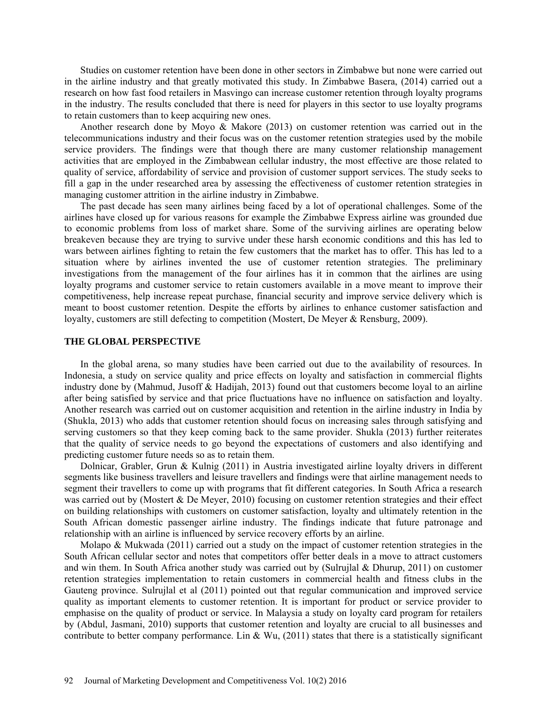Studies on customer retention have been done in other sectors in Zimbabwe but none were carried out in the airline industry and that greatly motivated this study. In Zimbabwe Basera, (2014) carried out a research on how fast food retailers in Masvingo can increase customer retention through loyalty programs in the industry. The results concluded that there is need for players in this sector to use loyalty programs to retain customers than to keep acquiring new ones.

Another research done by Moyo & Makore (2013) on customer retention was carried out in the telecommunications industry and their focus was on the customer retention strategies used by the mobile service providers. The findings were that though there are many customer relationship management activities that are employed in the Zimbabwean cellular industry, the most effective are those related to quality of service, affordability of service and provision of customer support services. The study seeks to fill a gap in the under researched area by assessing the effectiveness of customer retention strategies in managing customer attrition in the airline industry in Zimbabwe.

The past decade has seen many airlines being faced by a lot of operational challenges. Some of the airlines have closed up for various reasons for example the Zimbabwe Express airline was grounded due to economic problems from loss of market share. Some of the surviving airlines are operating below breakeven because they are trying to survive under these harsh economic conditions and this has led to wars between airlines fighting to retain the few customers that the market has to offer. This has led to a situation where by airlines invented the use of customer retention strategies. The preliminary investigations from the management of the four airlines has it in common that the airlines are using loyalty programs and customer service to retain customers available in a move meant to improve their competitiveness, help increase repeat purchase, financial security and improve service delivery which is meant to boost customer retention. Despite the efforts by airlines to enhance customer satisfaction and loyalty, customers are still defecting to competition (Mostert, De Meyer & Rensburg, 2009).

## **THE GLOBAL PERSPECTIVE**

In the global arena, so many studies have been carried out due to the availability of resources. In Indonesia, a study on service quality and price effects on loyalty and satisfaction in commercial flights industry done by (Mahmud, Jusoff & Hadijah, 2013) found out that customers become loyal to an airline after being satisfied by service and that price fluctuations have no influence on satisfaction and loyalty. Another research was carried out on customer acquisition and retention in the airline industry in India by (Shukla, 2013) who adds that customer retention should focus on increasing sales through satisfying and serving customers so that they keep coming back to the same provider. Shukla (2013) further reiterates that the quality of service needs to go beyond the expectations of customers and also identifying and predicting customer future needs so as to retain them.

Dolnicar, Grabler, Grun & Kulnig (2011) in Austria investigated airline loyalty drivers in different segments like business travellers and leisure travellers and findings were that airline management needs to segment their travellers to come up with programs that fit different categories. In South Africa a research was carried out by (Mostert & De Meyer, 2010) focusing on customer retention strategies and their effect on building relationships with customers on customer satisfaction, loyalty and ultimately retention in the South African domestic passenger airline industry. The findings indicate that future patronage and relationship with an airline is influenced by service recovery efforts by an airline.

Molapo  $\&$  Mukwada (2011) carried out a study on the impact of customer retention strategies in the South African cellular sector and notes that competitors offer better deals in a move to attract customers and win them. In South Africa another study was carried out by (Sulrujlal & Dhurup, 2011) on customer retention strategies implementation to retain customers in commercial health and fitness clubs in the Gauteng province. Sulrujlal et al (2011) pointed out that regular communication and improved service quality as important elements to customer retention. It is important for product or service provider to emphasise on the quality of product or service. In Malaysia a study on loyalty card program for retailers by (Abdul, Jasmani, 2010) supports that customer retention and loyalty are crucial to all businesses and contribute to better company performance. Lin & Wu,  $(2011)$  states that there is a statistically significant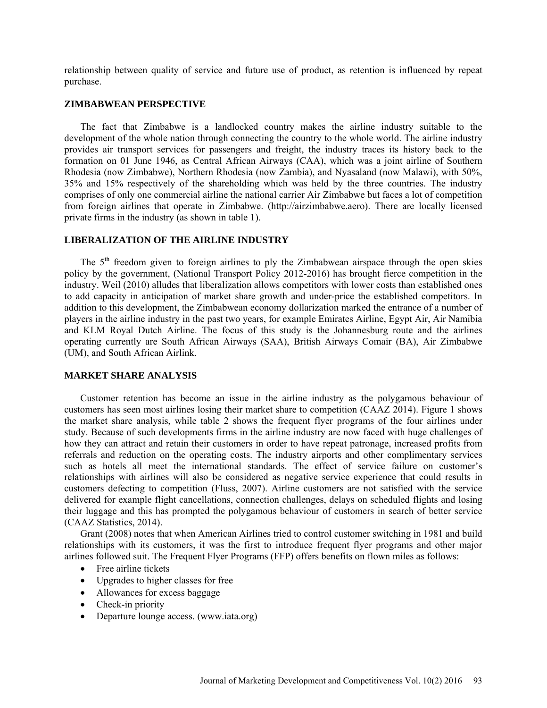relationship between quality of service and future use of product, as retention is influenced by repeat purchase.

#### **ZIMBABWEAN PERSPECTIVE**

The fact that Zimbabwe is a landlocked country makes the airline industry suitable to the development of the whole nation through connecting the country to the whole world. The airline industry provides air transport services for passengers and freight, the industry traces its history back to the formation on 01 June 1946, as Central African Airways (CAA), which was a joint airline of Southern Rhodesia (now Zimbabwe), Northern Rhodesia (now Zambia), and Nyasaland (now Malawi), with 50%, 35% and 15% respectively of the shareholding which was held by the three countries. The industry comprises of only one commercial airline the national carrier Air Zimbabwe but faces a lot of competition from foreign airlines that operate in Zimbabwe. [\(http://airzimbabwe.aero\)](http://airzimbabwe.aero/). There are locally licensed private firms in the industry (as shown in table 1).

## **LIBERALIZATION OF THE AIRLINE INDUSTRY**

The  $5<sup>th</sup>$  freedom given to foreign airlines to ply the Zimbabwean airspace through the open skies policy by the government, (National Transport Policy 2012-2016) has brought fierce competition in the industry. Weil (2010) alludes that liberalization allows competitors with lower costs than established ones to add capacity in anticipation of market share growth and under-price the established competitors. In addition to this development, the Zimbabwean economy dollarization marked the entrance of a number of players in the airline industry in the past two years, for example Emirates Airline, Egypt Air, Air Namibia and KLM Royal Dutch Airline. The focus of this study is the Johannesburg route and the airlines operating currently are South African Airways (SAA), British Airways Comair (BA), Air Zimbabwe (UM), and South African Airlink.

## **MARKET SHARE ANALYSIS**

Customer retention has become an issue in the airline industry as the polygamous behaviour of customers has seen most airlines losing their market share to competition (CAAZ 2014). Figure 1 shows the market share analysis, while table 2 shows the frequent flyer programs of the four airlines under study. Because of such developments firms in the airline industry are now faced with huge challenges of how they can attract and retain their customers in order to have repeat patronage, increased profits from referrals and reduction on the operating costs. The industry airports and other complimentary services such as hotels all meet the international standards. The effect of service failure on customer's relationships with airlines will also be considered as negative service experience that could results in customers defecting to competition (Fluss, 2007). Airline customers are not satisfied with the service delivered for example flight cancellations, connection challenges, delays on scheduled flights and losing their luggage and this has prompted the polygamous behaviour of customers in search of better service (CAAZ Statistics, 2014).

Grant (2008) notes that when American Airlines tried to control customer switching in 1981 and build relationships with its customers, it was the first to introduce frequent flyer programs and other major airlines followed suit. The Frequent Flyer Programs (FFP) offers benefits on flown miles as follows:

- Free airline tickets
- Upgrades to higher classes for free
- Allowances for excess baggage
- Check-in priority
- Departure lounge access. [\(www.iata.org\)](http://www.iata.org/)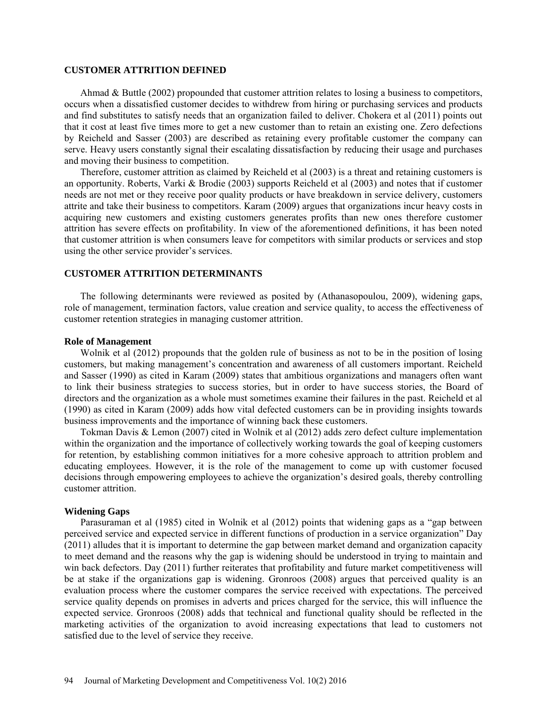## **CUSTOMER ATTRITION DEFINED**

Ahmad & Buttle (2002) propounded that customer attrition relates to losing a business to competitors, occurs when a dissatisfied customer decides to withdrew from hiring or purchasing services and products and find substitutes to satisfy needs that an organization failed to deliver. Chokera et al (2011) points out that it cost at least five times more to get a new customer than to retain an existing one. Zero defections by Reicheld and Sasser (2003) are described as retaining every profitable customer the company can serve. Heavy users constantly signal their escalating dissatisfaction by reducing their usage and purchases and moving their business to competition.

Therefore, customer attrition as claimed by Reicheld et al (2003) is a threat and retaining customers is an opportunity. Roberts, Varki & Brodie (2003) supports Reicheld et al (2003) and notes that if customer needs are not met or they receive poor quality products or have breakdown in service delivery, customers attrite and take their business to competitors. Karam (2009) argues that organizations incur heavy costs in acquiring new customers and existing customers generates profits than new ones therefore customer attrition has severe effects on profitability. In view of the aforementioned definitions, it has been noted that customer attrition is when consumers leave for competitors with similar products or services and stop using the other service provider's services.

#### **CUSTOMER ATTRITION DETERMINANTS**

The following determinants were reviewed as posited by (Athanasopoulou, 2009), widening gaps, role of management, termination factors, value creation and service quality, to access the effectiveness of customer retention strategies in managing customer attrition.

#### **Role of Management**

Wolnik et al (2012) propounds that the golden rule of business as not to be in the position of losing customers, but making management's concentration and awareness of all customers important. Reicheld and Sasser (1990) as cited in Karam (2009) states that ambitious organizations and managers often want to link their business strategies to success stories, but in order to have success stories, the Board of directors and the organization as a whole must sometimes examine their failures in the past. Reicheld et al (1990) as cited in Karam (2009) adds how vital defected customers can be in providing insights towards business improvements and the importance of winning back these customers.

Tokman Davis & Lemon (2007) cited in Wolnik et al (2012) adds zero defect culture implementation within the organization and the importance of collectively working towards the goal of keeping customers for retention, by establishing common initiatives for a more cohesive approach to attrition problem and educating employees. However, it is the role of the management to come up with customer focused decisions through empowering employees to achieve the organization's desired goals, thereby controlling customer attrition.

## **Widening Gaps**

Parasuraman et al (1985) cited in Wolnik et al (2012) points that widening gaps as a "gap between perceived service and expected service in different functions of production in a service organization" Day (2011) alludes that it is important to determine the gap between market demand and organization capacity to meet demand and the reasons why the gap is widening should be understood in trying to maintain and win back defectors. Day (2011) further reiterates that profitability and future market competitiveness will be at stake if the organizations gap is widening. Gronroos (2008) argues that perceived quality is an evaluation process where the customer compares the service received with expectations. The perceived service quality depends on promises in adverts and prices charged for the service, this will influence the expected service. Gronroos (2008) adds that technical and functional quality should be reflected in the marketing activities of the organization to avoid increasing expectations that lead to customers not satisfied due to the level of service they receive.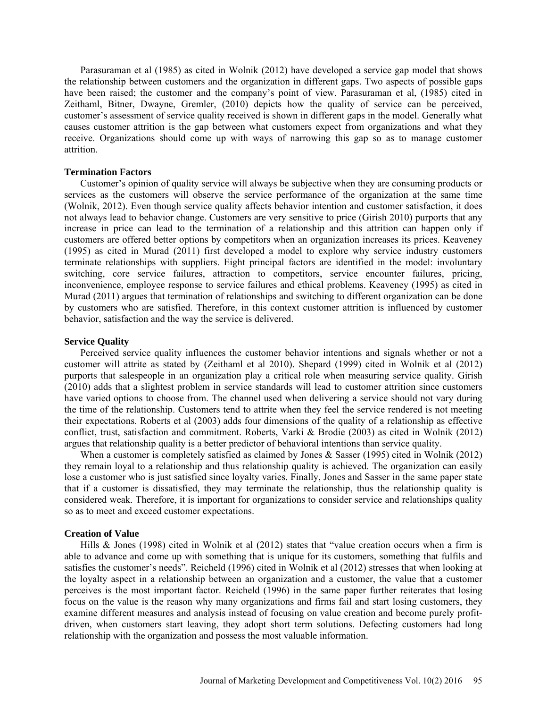Parasuraman et al (1985) as cited in Wolnik (2012) have developed a service gap model that shows the relationship between customers and the organization in different gaps. Two aspects of possible gaps have been raised; the customer and the company's point of view. Parasuraman et al, (1985) cited in Zeithaml, Bitner, Dwayne, Gremler, (2010) depicts how the quality of service can be perceived, customer's assessment of service quality received is shown in different gaps in the model. Generally what causes customer attrition is the gap between what customers expect from organizations and what they receive. Organizations should come up with ways of narrowing this gap so as to manage customer attrition.

## **Termination Factors**

Customer's opinion of quality service will always be subjective when they are consuming products or services as the customers will observe the service performance of the organization at the same time (Wolnik, 2012). Even though service quality affects behavior intention and customer satisfaction, it does not always lead to behavior change. Customers are very sensitive to price (Girish 2010) purports that any increase in price can lead to the termination of a relationship and this attrition can happen only if customers are offered better options by competitors when an organization increases its prices. Keaveney (1995) as cited in Murad (2011) first developed a model to explore why service industry customers terminate relationships with suppliers. Eight principal factors are identified in the model: involuntary switching, core service failures, attraction to competitors, service encounter failures, pricing, inconvenience, employee response to service failures and ethical problems. Keaveney (1995) as cited in Murad (2011) argues that termination of relationships and switching to different organization can be done by customers who are satisfied. Therefore, in this context customer attrition is influenced by customer behavior, satisfaction and the way the service is delivered.

## **Service Quality**

Perceived service quality influences the customer behavior intentions and signals whether or not a customer will attrite as stated by (Zeithaml et al 2010). Shepard (1999) cited in Wolnik et al (2012) purports that salespeople in an organization play a critical role when measuring service quality. Girish (2010) adds that a slightest problem in service standards will lead to customer attrition since customers have varied options to choose from. The channel used when delivering a service should not vary during the time of the relationship. Customers tend to attrite when they feel the service rendered is not meeting their expectations. Roberts et al (2003) adds four dimensions of the quality of a relationship as effective conflict, trust, satisfaction and commitment. Roberts, Varki & Brodie (2003) as cited in Wolnik (2012) argues that relationship quality is a better predictor of behavioral intentions than service quality.

When a customer is completely satisfied as claimed by Jones & Sasser (1995) cited in Wolnik (2012) they remain loyal to a relationship and thus relationship quality is achieved. The organization can easily lose a customer who is just satisfied since loyalty varies. Finally, Jones and Sasser in the same paper state that if a customer is dissatisfied, they may terminate the relationship, thus the relationship quality is considered weak. Therefore, it is important for organizations to consider service and relationships quality so as to meet and exceed customer expectations.

## **Creation of Value**

Hills & Jones (1998) cited in Wolnik et al (2012) states that "value creation occurs when a firm is able to advance and come up with something that is unique for its customers, something that fulfils and satisfies the customer's needs". Reicheld (1996) cited in Wolnik et al (2012) stresses that when looking at the loyalty aspect in a relationship between an organization and a customer, the value that a customer perceives is the most important factor. Reicheld (1996) in the same paper further reiterates that losing focus on the value is the reason why many organizations and firms fail and start losing customers, they examine different measures and analysis instead of focusing on value creation and become purely profitdriven, when customers start leaving, they adopt short term solutions. Defecting customers had long relationship with the organization and possess the most valuable information.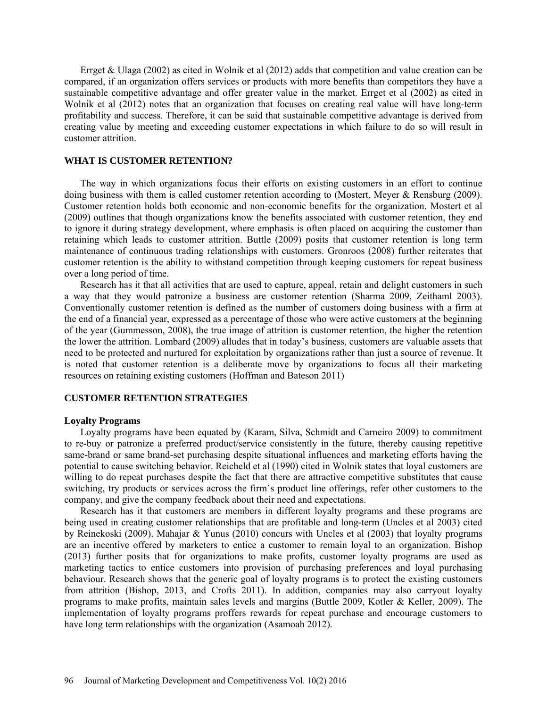Errget & Ulaga (2002) as cited in Wolnik et al (2012) adds that competition and value creation can be compared, if an organization offers services or products with more benefits than competitors they have a sustainable competitive advantage and offer greater value in the market. Errget et al (2002) as cited in Wolnik et al (2012) notes that an organization that focuses on creating real value will have long-term profitability and success. Therefore, it can be said that sustainable competitive advantage is derived from creating value by meeting and exceeding customer expectations in which failure to do so will result in customer attrition.

## **WHAT IS CUSTOMER RETENTION?**

The way in which organizations focus their efforts on existing customers in an effort to continue doing business with them is called customer retention according to (Mostert, Meyer & Rensburg (2009). Customer retention holds both economic and non-economic benefits for the organization. Mostert et al (2009) outlines that though organizations know the benefits associated with customer retention, they end to ignore it during strategy development, where emphasis is often placed on acquiring the customer than retaining which leads to customer attrition. Buttle (2009) posits that customer retention is long term maintenance of continuous trading relationships with customers. Gronroos (2008) further reiterates that customer retention is the ability to withstand competition through keeping customers for repeat business over a long period of time.

Research has it that all activities that are used to capture, appeal, retain and delight customers in such a way that they would patronize a business are customer retention (Sharma 2009, Zeithaml 2003). Conventionally customer retention is defined as the number of customers doing business with a firm at the end of a financial year, expressed as a percentage of those who were active customers at the beginning of the year (Gummesson, 2008), the true image of attrition is customer retention, the higher the retention the lower the attrition. Lombard (2009) alludes that in today's business, customers are valuable assets that need to be protected and nurtured for exploitation by organizations rather than just a source of revenue. It is noted that customer retention is a deliberate move by organizations to focus all their marketing resources on retaining existing customers (Hoffman and Bateson 2011)

## **CUSTOMER RETENTION STRATEGIES**

### **Loyalty Programs**

Loyalty programs have been equated by (Karam, Silva, Schmidt and Carneiro 2009) to commitment to re-buy or patronize a preferred product/service consistently in the future, thereby causing repetitive same-brand or same brand-set purchasing despite situational influences and marketing efforts having the potential to cause switching behavior. Reicheld et al (1990) cited in Wolnik states that loyal customers are willing to do repeat purchases despite the fact that there are attractive competitive substitutes that cause switching, try products or services across the firm's product line offerings, refer other customers to the company, and give the company feedback about their need and expectations.

Research has it that customers are members in different loyalty programs and these programs are being used in creating customer relationships that are profitable and long-term (Uncles et al 2003) cited by Reinekoski (2009). Mahajar & Yunus (2010) concurs with Uncles et al (2003) that loyalty programs are an incentive offered by marketers to entice a customer to remain loyal to an organization. Bishop (2013) further posits that for organizations to make profits, customer loyalty programs are used as marketing tactics to entice customers into provision of purchasing preferences and loyal purchasing behaviour. Research shows that the generic goal of loyalty programs is to protect the existing customers from attrition (Bishop, 2013, and Crofts 2011). In addition, companies may also carryout loyalty programs to make profits, maintain sales levels and margins (Buttle 2009, Kotler & Keller, 2009). The implementation of loyalty programs proffers rewards for repeat purchase and encourage customers to have long term relationships with the organization (Asamoah 2012).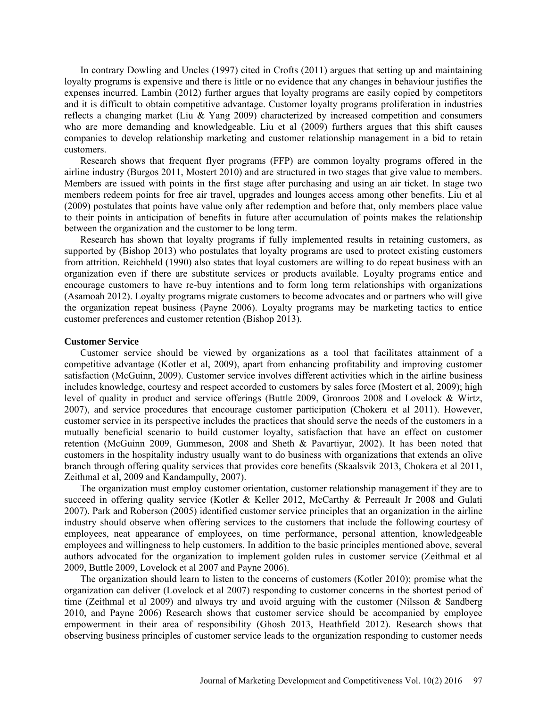In contrary Dowling and Uncles (1997) cited in Crofts (2011) argues that setting up and maintaining loyalty programs is expensive and there is little or no evidence that any changes in behaviour justifies the expenses incurred. Lambin (2012) further argues that loyalty programs are easily copied by competitors and it is difficult to obtain competitive advantage. Customer loyalty programs proliferation in industries reflects a changing market (Liu & Yang 2009) characterized by increased competition and consumers who are more demanding and knowledgeable. Liu et al (2009) furthers argues that this shift causes companies to develop relationship marketing and customer relationship management in a bid to retain customers.

Research shows that frequent flyer programs (FFP) are common loyalty programs offered in the airline industry (Burgos 2011, Mostert 2010) and are structured in two stages that give value to members. Members are issued with points in the first stage after purchasing and using an air ticket. In stage two members redeem points for free air travel, upgrades and lounges access among other benefits. Liu et al (2009) postulates that points have value only after redemption and before that, only members place value to their points in anticipation of benefits in future after accumulation of points makes the relationship between the organization and the customer to be long term.

Research has shown that loyalty programs if fully implemented results in retaining customers, as supported by (Bishop 2013) who postulates that loyalty programs are used to protect existing customers from attrition. Reichheld (1990) also states that loyal customers are willing to do repeat business with an organization even if there are substitute services or products available. Loyalty programs entice and encourage customers to have re-buy intentions and to form long term relationships with organizations (Asamoah 2012). Loyalty programs migrate customers to become advocates and or partners who will give the organization repeat business (Payne 2006). Loyalty programs may be marketing tactics to entice customer preferences and customer retention (Bishop 2013).

#### **Customer Service**

Customer service should be viewed by organizations as a tool that facilitates attainment of a competitive advantage (Kotler et al, 2009), apart from enhancing profitability and improving customer satisfaction (McGuinn, 2009). Customer service involves different activities which in the airline business includes knowledge, courtesy and respect accorded to customers by sales force (Mostert et al, 2009); high level of quality in product and service offerings (Buttle 2009, Gronroos 2008 and Lovelock & Wirtz, 2007), and service procedures that encourage customer participation (Chokera et al 2011). However, customer service in its perspective includes the practices that should serve the needs of the customers in a mutually beneficial scenario to build customer loyalty, satisfaction that have an effect on customer retention (McGuinn 2009, Gummeson, 2008 and Sheth & Pavartiyar, 2002). It has been noted that customers in the hospitality industry usually want to do business with organizations that extends an olive branch through offering quality services that provides core benefits (Skaalsvik 2013, Chokera et al 2011, Zeithmal et al, 2009 and Kandampully, 2007).

The organization must employ customer orientation, customer relationship management if they are to succeed in offering quality service (Kotler & Keller 2012, McCarthy & Perreault Jr 2008 and Gulati 2007). Park and Roberson (2005) identified customer service principles that an organization in the airline industry should observe when offering services to the customers that include the following courtesy of employees, neat appearance of employees, on time performance, personal attention, knowledgeable employees and willingness to help customers. In addition to the basic principles mentioned above, several authors advocated for the organization to implement golden rules in customer service (Zeithmal et al 2009, Buttle 2009, Lovelock et al 2007 and Payne 2006).

The organization should learn to listen to the concerns of customers (Kotler 2010); promise what the organization can deliver (Lovelock et al 2007) responding to customer concerns in the shortest period of time (Zeithmal et al 2009) and always try and avoid arguing with the customer (Nilsson & Sandberg 2010, and Payne 2006) Research shows that customer service should be accompanied by employee empowerment in their area of responsibility (Ghosh 2013, Heathfield 2012). Research shows that observing business principles of customer service leads to the organization responding to customer needs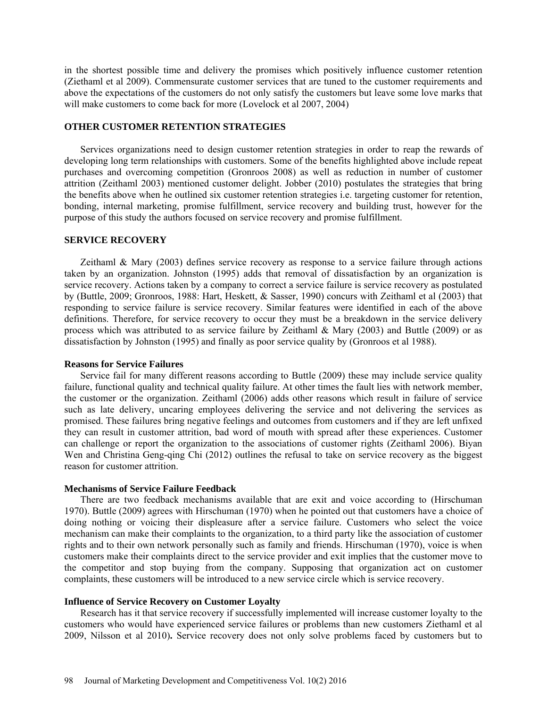in the shortest possible time and delivery the promises which positively influence customer retention (Ziethaml et al 2009). Commensurate customer services that are tuned to the customer requirements and above the expectations of the customers do not only satisfy the customers but leave some love marks that will make customers to come back for more (Lovelock et al 2007, 2004)

## **OTHER CUSTOMER RETENTION STRATEGIES**

Services organizations need to design customer retention strategies in order to reap the rewards of developing long term relationships with customers. Some of the benefits highlighted above include repeat purchases and overcoming competition (Gronroos 2008) as well as reduction in number of customer attrition (Zeithaml 2003) mentioned customer delight. Jobber (2010) postulates the strategies that bring the benefits above when he outlined six customer retention strategies i.e. targeting customer for retention, bonding, internal marketing, promise fulfillment, service recovery and building trust, however for the purpose of this study the authors focused on service recovery and promise fulfillment.

#### **SERVICE RECOVERY**

Zeithaml & Mary (2003) defines service recovery as response to a service failure through actions taken by an organization. Johnston (1995) adds that removal of dissatisfaction by an organization is service recovery. Actions taken by a company to correct a service failure is service recovery as postulated by (Buttle, 2009; Gronroos, 1988: Hart, Heskett, & Sasser, 1990) concurs with Zeithaml et al (2003) that responding to service failure is service recovery. Similar features were identified in each of the above definitions. Therefore, for service recovery to occur they must be a breakdown in the service delivery process which was attributed to as service failure by Zeithaml & Mary (2003) and Buttle (2009) or as dissatisfaction by Johnston (1995) and finally as poor service quality by (Gronroos et al 1988).

## **Reasons for Service Failures**

Service fail for many different reasons according to Buttle (2009) these may include service quality failure, functional quality and technical quality failure. At other times the fault lies with network member, the customer or the organization. Zeithaml (2006) adds other reasons which result in failure of service such as late delivery, uncaring employees delivering the service and not delivering the services as promised. These failures bring negative feelings and outcomes from customers and if they are left unfixed they can result in customer attrition, bad word of mouth with spread after these experiences. Customer can challenge or report the organization to the associations of customer rights (Zeithaml 2006). Biyan Wen and Christina Geng-qing Chi (2012) outlines the refusal to take on service recovery as the biggest reason for customer attrition.

#### **Mechanisms of Service Failure Feedback**

There are two feedback mechanisms available that are exit and voice according to (Hirschuman 1970). Buttle (2009) agrees with Hirschuman (1970) when he pointed out that customers have a choice of doing nothing or voicing their displeasure after a service failure. Customers who select the voice mechanism can make their complaints to the organization, to a third party like the association of customer rights and to their own network personally such as family and friends. Hirschuman (1970), voice is when customers make their complaints direct to the service provider and exit implies that the customer move to the competitor and stop buying from the company. Supposing that organization act on customer complaints, these customers will be introduced to a new service circle which is service recovery.

## **Influence of Service Recovery on Customer Loyalty**

Research has it that service recovery if successfully implemented will increase customer loyalty to the customers who would have experienced service failures or problems than new customers Ziethaml et al 2009, Nilsson et al 2010)**.** Service recovery does not only solve problems faced by customers but to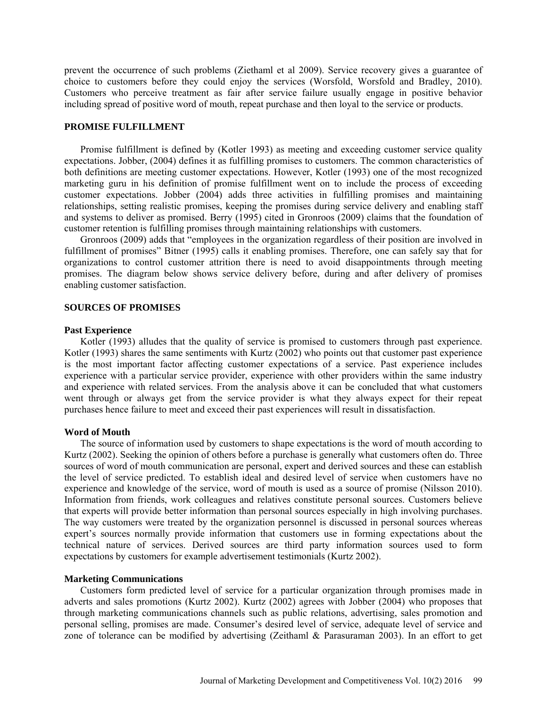prevent the occurrence of such problems (Ziethaml et al 2009). Service recovery gives a guarantee of choice to customers before they could enjoy the services (Worsfold, Worsfold and Bradley, 2010). Customers who perceive treatment as fair after service failure usually engage in positive behavior including spread of positive word of mouth, repeat purchase and then loyal to the service or products.

## **PROMISE FULFILLMENT**

Promise fulfillment is defined by (Kotler 1993) as meeting and exceeding customer service quality expectations. Jobber, (2004) defines it as fulfilling promises to customers. The common characteristics of both definitions are meeting customer expectations. However, Kotler (1993) one of the most recognized marketing guru in his definition of promise fulfillment went on to include the process of exceeding customer expectations. Jobber (2004) adds three activities in fulfilling promises and maintaining relationships, setting realistic promises, keeping the promises during service delivery and enabling staff and systems to deliver as promised. Berry (1995) cited in Gronroos (2009) claims that the foundation of customer retention is fulfilling promises through maintaining relationships with customers.

Gronroos (2009) adds that "employees in the organization regardless of their position are involved in fulfillment of promises" Bitner (1995) calls it enabling promises. Therefore, one can safely say that for organizations to control customer attrition there is need to avoid disappointments through meeting promises. The diagram below shows service delivery before, during and after delivery of promises enabling customer satisfaction.

#### **SOURCES OF PROMISES**

#### **Past Experience**

Kotler (1993) alludes that the quality of service is promised to customers through past experience. Kotler (1993) shares the same sentiments with Kurtz (2002) who points out that customer past experience is the most important factor affecting customer expectations of a service. Past experience includes experience with a particular service provider, experience with other providers within the same industry and experience with related services. From the analysis above it can be concluded that what customers went through or always get from the service provider is what they always expect for their repeat purchases hence failure to meet and exceed their past experiences will result in dissatisfaction.

### **Word of Mouth**

The source of information used by customers to shape expectations is the word of mouth according to Kurtz (2002). Seeking the opinion of others before a purchase is generally what customers often do. Three sources of word of mouth communication are personal, expert and derived sources and these can establish the level of service predicted. To establish ideal and desired level of service when customers have no experience and knowledge of the service, word of mouth is used as a source of promise (Nilsson 2010). Information from friends, work colleagues and relatives constitute personal sources. Customers believe that experts will provide better information than personal sources especially in high involving purchases. The way customers were treated by the organization personnel is discussed in personal sources whereas expert's sources normally provide information that customers use in forming expectations about the technical nature of services. Derived sources are third party information sources used to form expectations by customers for example advertisement testimonials (Kurtz 2002).

## **Marketing Communications**

Customers form predicted level of service for a particular organization through promises made in adverts and sales promotions (Kurtz 2002). Kurtz (2002) agrees with Jobber (2004) who proposes that through marketing communications channels such as public relations, advertising, sales promotion and personal selling, promises are made. Consumer's desired level of service, adequate level of service and zone of tolerance can be modified by advertising (Zeithaml & Parasuraman 2003). In an effort to get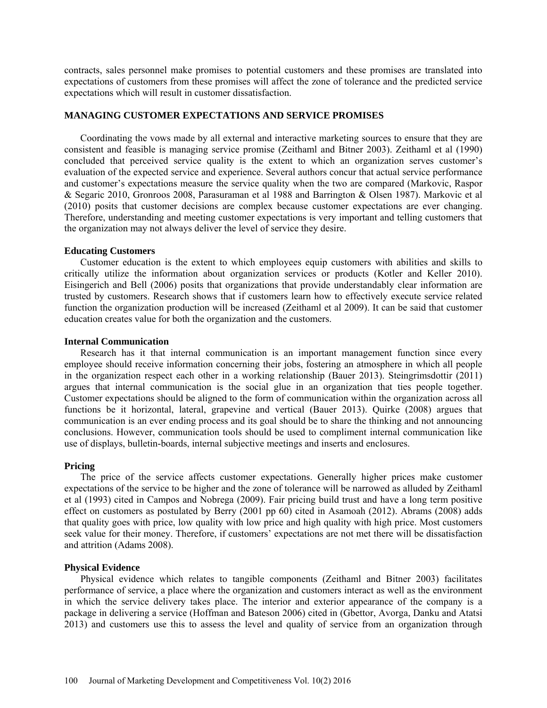contracts, sales personnel make promises to potential customers and these promises are translated into expectations of customers from these promises will affect the zone of tolerance and the predicted service expectations which will result in customer dissatisfaction.

## **MANAGING CUSTOMER EXPECTATIONS AND SERVICE PROMISES**

Coordinating the vows made by all external and interactive marketing sources to ensure that they are consistent and feasible is managing service promise (Zeithaml and Bitner 2003). Zeithaml et al (1990) concluded that perceived service quality is the extent to which an organization serves customer's evaluation of the expected service and experience. Several authors concur that actual service performance and customer's expectations measure the service quality when the two are compared (Markovic, Raspor & Segaric 2010, Gronroos 2008, Parasuraman et al 1988 and Barrington & Olsen 1987). Markovic et al (2010) posits that customer decisions are complex because customer expectations are ever changing. Therefore, understanding and meeting customer expectations is very important and telling customers that the organization may not always deliver the level of service they desire.

## **Educating Customers**

Customer education is the extent to which employees equip customers with abilities and skills to critically utilize the information about organization services or products (Kotler and Keller 2010). Eisingerich and Bell (2006) posits that organizations that provide understandably clear information are trusted by customers. Research shows that if customers learn how to effectively execute service related function the organization production will be increased (Zeithaml et al 2009). It can be said that customer education creates value for both the organization and the customers.

## **Internal Communication**

Research has it that internal communication is an important management function since every employee should receive information concerning their jobs, fostering an atmosphere in which all people in the organization respect each other in a working relationship (Bauer 2013). Steingrimsdottir (2011) argues that internal communication is the social glue in an organization that ties people together. Customer expectations should be aligned to the form of communication within the organization across all functions be it horizontal, lateral, grapevine and vertical (Bauer 2013). Quirke (2008) argues that communication is an ever ending process and its goal should be to share the thinking and not announcing conclusions. However, communication tools should be used to compliment internal communication like use of displays, bulletin-boards, internal subjective meetings and inserts and enclosures.

## **Pricing**

The price of the service affects customer expectations. Generally higher prices make customer expectations of the service to be higher and the zone of tolerance will be narrowed as alluded by Zeithaml et al (1993) cited in Campos and Nobrega (2009). Fair pricing build trust and have a long term positive effect on customers as postulated by Berry (2001 pp 60) cited in Asamoah (2012). Abrams (2008) adds that quality goes with price, low quality with low price and high quality with high price. Most customers seek value for their money. Therefore, if customers' expectations are not met there will be dissatisfaction and attrition (Adams 2008).

#### **Physical Evidence**

Physical evidence which relates to tangible components (Zeithaml and Bitner 2003) facilitates performance of service, a place where the organization and customers interact as well as the environment in which the service delivery takes place. The interior and exterior appearance of the company is a package in delivering a service (Hoffman and Bateson 2006) cited in (Gbettor, Avorga, Danku and Atatsi 2013) and customers use this to assess the level and quality of service from an organization through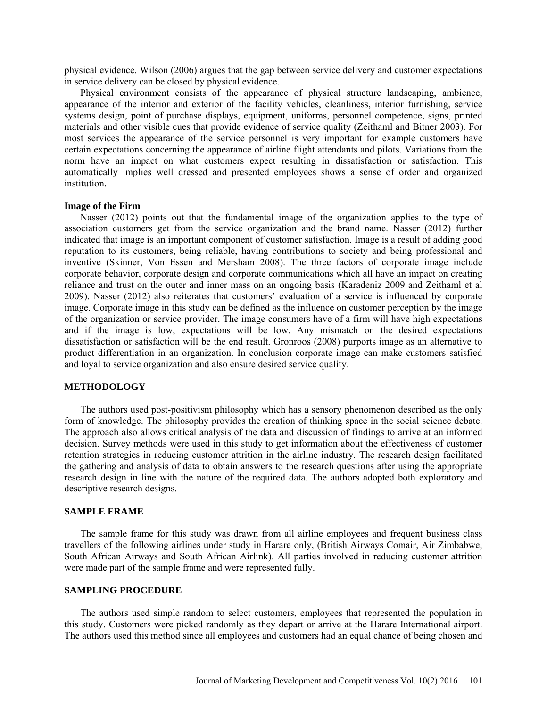physical evidence. Wilson (2006) argues that the gap between service delivery and customer expectations in service delivery can be closed by physical evidence.

Physical environment consists of the appearance of physical structure landscaping, ambience, appearance of the interior and exterior of the facility vehicles, cleanliness, interior furnishing, service systems design, point of purchase displays, equipment, uniforms, personnel competence, signs, printed materials and other visible cues that provide evidence of service quality (Zeithaml and Bitner 2003). For most services the appearance of the service personnel is very important for example customers have certain expectations concerning the appearance of airline flight attendants and pilots. Variations from the norm have an impact on what customers expect resulting in dissatisfaction or satisfaction. This automatically implies well dressed and presented employees shows a sense of order and organized institution.

## **Image of the Firm**

Nasser (2012) points out that the fundamental image of the organization applies to the type of association customers get from the service organization and the brand name. Nasser (2012) further indicated that image is an important component of customer satisfaction. Image is a result of adding good reputation to its customers, being reliable, having contributions to society and being professional and inventive (Skinner, Von Essen and Mersham 2008). The three factors of corporate image include corporate behavior, corporate design and corporate communications which all have an impact on creating reliance and trust on the outer and inner mass on an ongoing basis (Karadeniz 2009 and Zeithaml et al 2009). Nasser (2012) also reiterates that customers' evaluation of a service is influenced by corporate image. Corporate image in this study can be defined as the influence on customer perception by the image of the organization or service provider. The image consumers have of a firm will have high expectations and if the image is low, expectations will be low. Any mismatch on the desired expectations dissatisfaction or satisfaction will be the end result. Gronroos (2008) purports image as an alternative to product differentiation in an organization. In conclusion corporate image can make customers satisfied and loyal to service organization and also ensure desired service quality.

## **METHODOLOGY**

The authors used post-positivism philosophy which has a sensory phenomenon described as the only form of knowledge. The philosophy provides the creation of thinking space in the social science debate. The approach also allows critical analysis of the data and discussion of findings to arrive at an informed decision. Survey methods were used in this study to get information about the effectiveness of customer retention strategies in reducing customer attrition in the airline industry. The research design facilitated the gathering and analysis of data to obtain answers to the research questions after using the appropriate research design in line with the nature of the required data. The authors adopted both exploratory and descriptive research designs.

## **SAMPLE FRAME**

The sample frame for this study was drawn from all airline employees and frequent business class travellers of the following airlines under study in Harare only, (British Airways Comair, Air Zimbabwe, South African Airways and South African Airlink). All parties involved in reducing customer attrition were made part of the sample frame and were represented fully.

## **SAMPLING PROCEDURE**

The authors used simple random to select customers, employees that represented the population in this study. Customers were picked randomly as they depart or arrive at the Harare International airport. The authors used this method since all employees and customers had an equal chance of being chosen and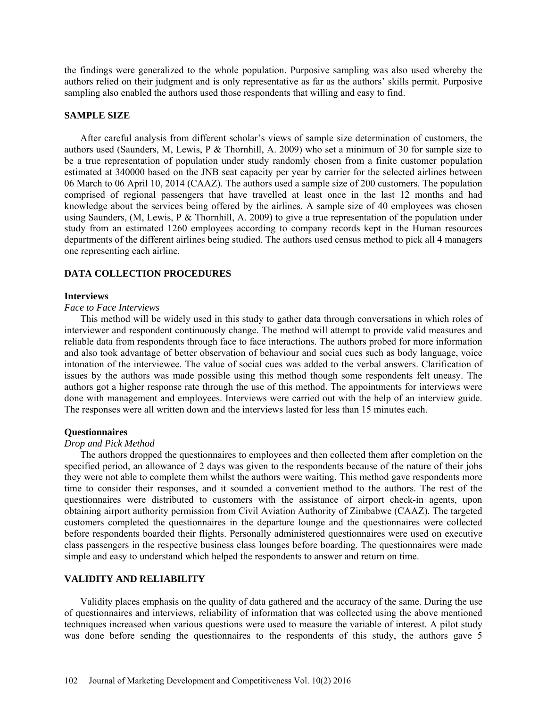the findings were generalized to the whole population. Purposive sampling was also used whereby the authors relied on their judgment and is only representative as far as the authors' skills permit. Purposive sampling also enabled the authors used those respondents that willing and easy to find.

## **SAMPLE SIZE**

After careful analysis from different scholar's views of sample size determination of customers, the authors used (Saunders, M, Lewis, P & Thornhill, A. 2009) who set a minimum of 30 for sample size to be a true representation of population under study randomly chosen from a finite customer population estimated at 340000 based on the JNB seat capacity per year by carrier for the selected airlines between 06 March to 06 April 10, 2014 (CAAZ). The authors used a sample size of 200 customers. The population comprised of regional passengers that have travelled at least once in the last 12 months and had knowledge about the services being offered by the airlines. A sample size of 40 employees was chosen using Saunders, (M, Lewis, P & Thornhill, A. 2009) to give a true representation of the population under study from an estimated 1260 employees according to company records kept in the Human resources departments of the different airlines being studied. The authors used census method to pick all 4 managers one representing each airline.

## **DATA COLLECTION PROCEDURES**

#### **Interviews**

## *Face to Face Interviews*

This method will be widely used in this study to gather data through conversations in which roles of interviewer and respondent continuously change. The method will attempt to provide valid measures and reliable data from respondents through face to face interactions. The authors probed for more information and also took advantage of better observation of behaviour and social cues such as body language, voice intonation of the interviewee. The value of social cues was added to the verbal answers. Clarification of issues by the authors was made possible using this method though some respondents felt uneasy. The authors got a higher response rate through the use of this method. The appointments for interviews were done with management and employees. Interviews were carried out with the help of an interview guide. The responses were all written down and the interviews lasted for less than 15 minutes each.

### **Questionnaires**

### *Drop and Pick Method*

The authors dropped the questionnaires to employees and then collected them after completion on the specified period, an allowance of 2 days was given to the respondents because of the nature of their jobs they were not able to complete them whilst the authors were waiting. This method gave respondents more time to consider their responses, and it sounded a convenient method to the authors. The rest of the questionnaires were distributed to customers with the assistance of airport check-in agents, upon obtaining airport authority permission from Civil Aviation Authority of Zimbabwe (CAAZ). The targeted customers completed the questionnaires in the departure lounge and the questionnaires were collected before respondents boarded their flights. Personally administered questionnaires were used on executive class passengers in the respective business class lounges before boarding. The questionnaires were made simple and easy to understand which helped the respondents to answer and return on time.

## **VALIDITY AND RELIABILITY**

Validity places emphasis on the quality of data gathered and the accuracy of the same. During the use of questionnaires and interviews, reliability of information that was collected using the above mentioned techniques increased when various questions were used to measure the variable of interest. A pilot study was done before sending the questionnaires to the respondents of this study, the authors gave 5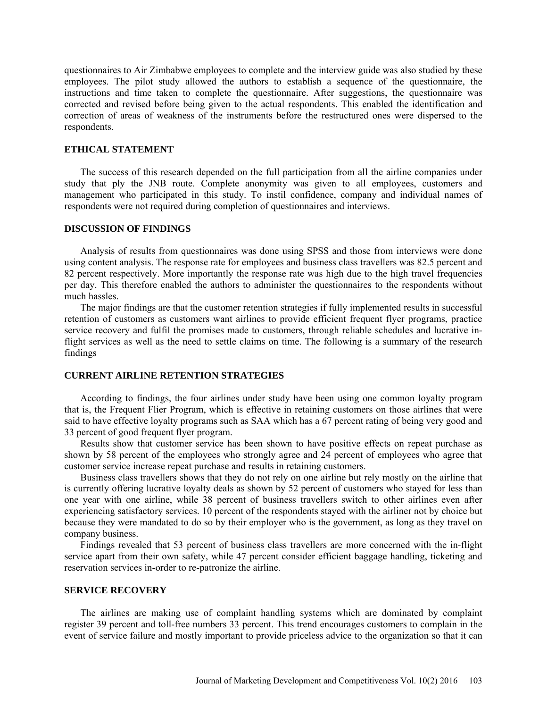questionnaires to Air Zimbabwe employees to complete and the interview guide was also studied by these employees. The pilot study allowed the authors to establish a sequence of the questionnaire, the instructions and time taken to complete the questionnaire. After suggestions, the questionnaire was corrected and revised before being given to the actual respondents. This enabled the identification and correction of areas of weakness of the instruments before the restructured ones were dispersed to the respondents.

## **ETHICAL STATEMENT**

The success of this research depended on the full participation from all the airline companies under study that ply the JNB route. Complete anonymity was given to all employees, customers and management who participated in this study. To instil confidence, company and individual names of respondents were not required during completion of questionnaires and interviews.

## **DISCUSSION OF FINDINGS**

Analysis of results from questionnaires was done using SPSS and those from interviews were done using content analysis. The response rate for employees and business class travellers was 82.5 percent and 82 percent respectively. More importantly the response rate was high due to the high travel frequencies per day. This therefore enabled the authors to administer the questionnaires to the respondents without much hassles.

The major findings are that the customer retention strategies if fully implemented results in successful retention of customers as customers want airlines to provide efficient frequent flyer programs, practice service recovery and fulfil the promises made to customers, through reliable schedules and lucrative inflight services as well as the need to settle claims on time. The following is a summary of the research findings

## **CURRENT AIRLINE RETENTION STRATEGIES**

According to findings, the four airlines under study have been using one common loyalty program that is, the Frequent Flier Program, which is effective in retaining customers on those airlines that were said to have effective loyalty programs such as SAA which has a 67 percent rating of being very good and 33 percent of good frequent flyer program.

Results show that customer service has been shown to have positive effects on repeat purchase as shown by 58 percent of the employees who strongly agree and 24 percent of employees who agree that customer service increase repeat purchase and results in retaining customers.

Business class travellers shows that they do not rely on one airline but rely mostly on the airline that is currently offering lucrative loyalty deals as shown by 52 percent of customers who stayed for less than one year with one airline, while 38 percent of business travellers switch to other airlines even after experiencing satisfactory services. 10 percent of the respondents stayed with the airliner not by choice but because they were mandated to do so by their employer who is the government, as long as they travel on company business.

Findings revealed that 53 percent of business class travellers are more concerned with the in-flight service apart from their own safety, while 47 percent consider efficient baggage handling, ticketing and reservation services in-order to re-patronize the airline.

## **SERVICE RECOVERY**

The airlines are making use of complaint handling systems which are dominated by complaint register 39 percent and toll-free numbers 33 percent. This trend encourages customers to complain in the event of service failure and mostly important to provide priceless advice to the organization so that it can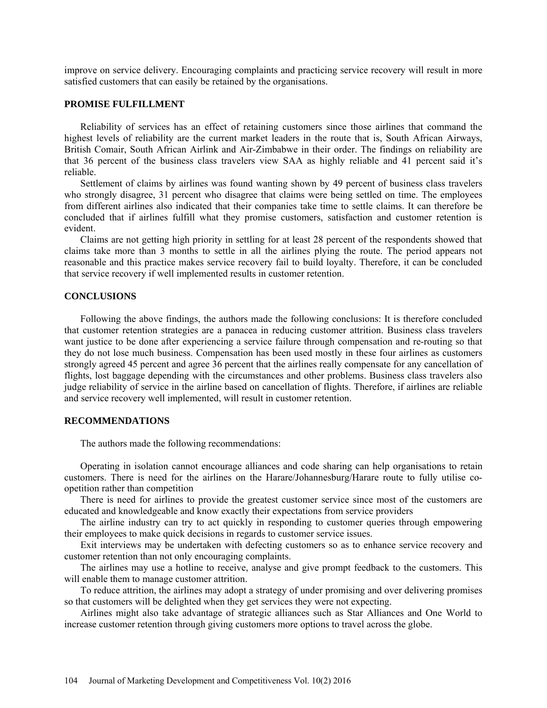improve on service delivery. Encouraging complaints and practicing service recovery will result in more satisfied customers that can easily be retained by the organisations.

## **PROMISE FULFILLMENT**

Reliability of services has an effect of retaining customers since those airlines that command the highest levels of reliability are the current market leaders in the route that is, South African Airways, British Comair, South African Airlink and Air-Zimbabwe in their order. The findings on reliability are that 36 percent of the business class travelers view SAA as highly reliable and 41 percent said it's reliable.

Settlement of claims by airlines was found wanting shown by 49 percent of business class travelers who strongly disagree, 31 percent who disagree that claims were being settled on time. The employees from different airlines also indicated that their companies take time to settle claims. It can therefore be concluded that if airlines fulfill what they promise customers, satisfaction and customer retention is evident.

Claims are not getting high priority in settling for at least 28 percent of the respondents showed that claims take more than 3 months to settle in all the airlines plying the route. The period appears not reasonable and this practice makes service recovery fail to build loyalty. Therefore, it can be concluded that service recovery if well implemented results in customer retention.

## **CONCLUSIONS**

Following the above findings, the authors made the following conclusions: It is therefore concluded that customer retention strategies are a panacea in reducing customer attrition. Business class travelers want justice to be done after experiencing a service failure through compensation and re-routing so that they do not lose much business. Compensation has been used mostly in these four airlines as customers strongly agreed 45 percent and agree 36 percent that the airlines really compensate for any cancellation of flights, lost baggage depending with the circumstances and other problems. Business class travelers also judge reliability of service in the airline based on cancellation of flights. Therefore, if airlines are reliable and service recovery well implemented, will result in customer retention.

### **RECOMMENDATIONS**

The authors made the following recommendations:

Operating in isolation cannot encourage alliances and code sharing can help organisations to retain customers. There is need for the airlines on the Harare/Johannesburg/Harare route to fully utilise coopetition rather than competition

There is need for airlines to provide the greatest customer service since most of the customers are educated and knowledgeable and know exactly their expectations from service providers

The airline industry can try to act quickly in responding to customer queries through empowering their employees to make quick decisions in regards to customer service issues.

Exit interviews may be undertaken with defecting customers so as to enhance service recovery and customer retention than not only encouraging complaints.

The airlines may use a hotline to receive, analyse and give prompt feedback to the customers. This will enable them to manage customer attrition.

To reduce attrition, the airlines may adopt a strategy of under promising and over delivering promises so that customers will be delighted when they get services they were not expecting.

Airlines might also take advantage of strategic alliances such as Star Alliances and One World to increase customer retention through giving customers more options to travel across the globe.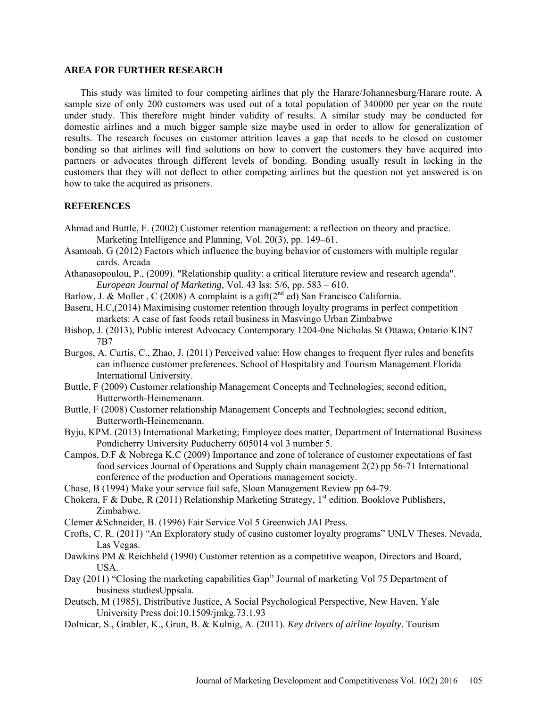## **AREA FOR FURTHER RESEARCH**

This study was limited to four competing airlines that ply the Harare/Johannesburg/Harare route. A sample size of only 200 customers was used out of a total population of 340000 per year on the route under study. This therefore might hinder validity of results. A similar study may be conducted for domestic airlines and a much bigger sample size maybe used in order to allow for generalization of results. The research focuses on customer attrition leaves a gap that needs to be closed on customer bonding so that airlines will find solutions on how to convert the customers they have acquired into partners or advocates through different levels of bonding. Bonding usually result in locking in the customers that they will not deflect to other competing airlines but the question not yet answered is on how to take the acquired as prisoners.

## **REFERENCES**

- Ahmad and Buttle, F. (2002) Customer retention management: a reflection on theory and practice. Marketing Intelligence and Planning, Vol. 20(3), pp. 149–61.
- Asamoah, G (2012) Factors which influence the buying behavior of customers with multiple regular cards. Arcada
- Athanasopoulou, P., (2009). "Relationship quality: a critical literature review and research agenda". *European Journal of Marketing,* Vol. 43 Iss: 5/6, pp. 583 – 610.
- Barlow, J. & Moller, C (2008) A complaint is a gift( $2^{nd}$  ed) San Francisco California.
- Basera, H.C,(2014) Maximising customer retention through loyalty programs in perfect competition markets: A case of fast foods retail business in Masvingo Urban Zimbabwe
- Bishop, J. (2013), Public interest Advocacy Contemporary 1204-0ne Nicholas St Ottawa, Ontario KIN7 7B7
- Burgos, A. Curtis, C., Zhao, J. (2011) Perceived value: How changes to frequent flyer rules and benefits can influence customer preferences. School of Hospitality and Tourism Management Florida International University.
- Buttle, F (2009) Customer relationship Management Concepts and Technologies; second edition, Butterworth-Heinemenann.
- Buttle, F (2008) Customer relationship Management Concepts and Technologies; second edition, Butterworth-Heinemenann.
- Byju, KPM. (2013) International Marketing; Employee does matter, Department of International Business Pondicherry University Puducherry 605014 vol 3 number 5.
- Campos, D.F & Nobrega K.C (2009) Importance and zone of tolerance of customer expectations of fast food services Journal of Operations and Supply chain management 2(2) pp 56-71 International conference of the production and Operations management society.
- Chase, B (1994) Make your service fail safe, Sloan Management Review pp 64-79.
- Chokera, F & Dube, R (2011) Relationship Marketing Strategy,  $1^{st}$  edition. Booklove Publishers, Zimbabwe.
- Clemer &Schneider, B. (1996) Fair Service Vol 5 Greenwich JAI Press.
- Crofts, C. R. (2011) "An Exploratory study of casino customer loyalty programs" UNLV Theses. Nevada, Las Vegas.
- Dawkins PM & Reichheld (1990) Customer retention as a competitive weapon, Directors and Board, USA.
- Day (2011) "Closing the marketing capabilities Gap" Journal of marketing Vol 75 Department of business studiesUppsala.
- Deutsch, M (1985), Distributive Justice, A Social Psychological Perspective, New Haven, Yale University Press doi:10.1509/jmkg.73.1.93
- Dolnicar, S., Grabler, K., Grun, B. & Kulnig, A. (2011). *Key drivers of airline loyalty*. Tourism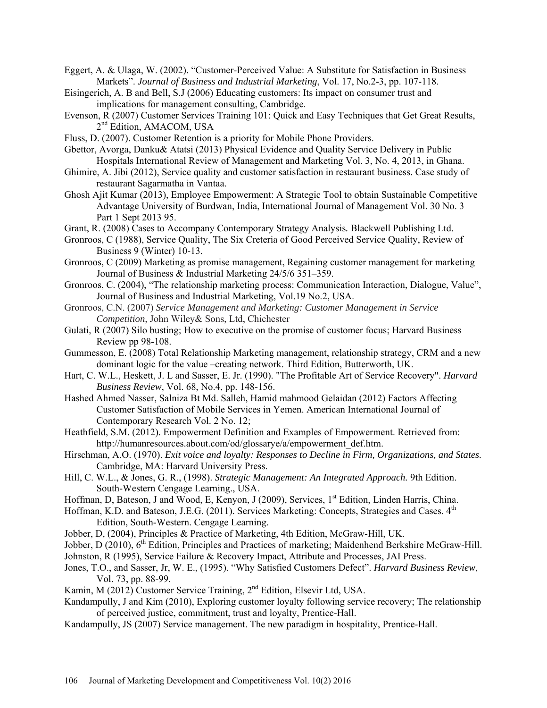Eggert, A. & Ulaga, W. (2002). "Customer-Perceived Value: A Substitute for Satisfaction in Business Markets". *Journal of Business and Industrial Marketing*, Vol. 17, No.2-3, pp. 107-118.

- Eisingerich, A. B and Bell, S.J (2006) Educating customers: Its impact on consumer trust and implications for management consulting, Cambridge.
- Evenson, R (2007) Customer Services Training 101: Quick and Easy Techniques that Get Great Results, 2<sup>nd</sup> Edition, AMACOM, USA
- Fluss, D. (2007). Customer Retention is a priority for Mobile Phone Providers.
- Gbettor, Avorga, Danku& Atatsi (2013) Physical Evidence and Quality Service Delivery in Public Hospitals International Review of Management and Marketing Vol. 3, No. 4, 2013, in Ghana.
- Ghimire, A. Jibi (2012), Service quality and customer satisfaction in restaurant business. Case study of restaurant Sagarmatha in Vantaa.
- Ghosh Ajit Kumar (2013), Employee Empowerment: A Strategic Tool to obtain Sustainable Competitive Advantage University of Burdwan, India, International Journal of Management Vol. 30 No. 3 Part 1 Sept 2013 95.
- Grant, R. (2008) Cases to Accompany Contemporary Strategy Analysis*.* Blackwell Publishing Ltd.
- Gronroos, C (1988), Service Quality, The Six Creteria of Good Perceived Service Quality, Review of Business 9 (Winter) 10-13.
- Gronroos, C (2009) Marketing as promise management, Regaining customer management for marketing Journal of Business & Industrial Marketing 24/5/6 351–359.
- Gronroos, C. (2004), "The relationship marketing process: Communication Interaction, Dialogue, Value", Journal of Business and Industrial Marketing, Vol.19 No.2, USA.
- Gronroos, C.N. (2007) *Service Management and Marketing: Customer Management in Service Competition*, John Wiley& Sons, Ltd, Chichester
- Gulati, R (2007) Silo busting; How to executive on the promise of customer focus; Harvard Business Review pp 98-108.
- Gummesson, E. (2008) Total Relationship Marketing management, relationship strategy, CRM and a new dominant logic for the value –creating network. Third Edition, Butterworth, UK.
- Hart, C. W.L., Heskett, J. L and Sasser, E. Jr. (1990). "The Profitable Art of Service Recovery". *Harvard Business Review*, Vol. 68, No.4, pp. 148-156.
- Hashed Ahmed Nasser, Salniza Bt Md. Salleh, Hamid mahmood Gelaidan (2012) Factors Affecting Customer Satisfaction of Mobile Services in Yemen. American International Journal of Contemporary Research Vol. 2 No. 12;
- Heathfield, S.M. (2012). Empowerment Definition and Examples of Empowerment. Retrieved from: http://humanresources.about.com/od/glossarye/a/empowerment\_def.htm.
- Hirschman, A.O. (1970). *Exit voice and loyalty: Responses to Decline in Firm, Organizations, and States*. Cambridge, MA: Harvard University Press.
- Hill, C. W.L., & Jones, G. R., (1998). *Strategic Management: An Integrated Approach.* 9th Edition. South-Western Cengage Learning., USA.
- Hoffman, D, Bateson, J and Wood, E, Kenyon, J (2009), Services, 1<sup>st</sup> Edition, Linden Harris. China.

Hoffman, K.D. and Bateson, J.E.G. (2011). Services Marketing: Concepts, Strategies and Cases. 4<sup>th</sup> Edition, South-Western. Cengage Learning.

Jobber, D, (2004), Principles & Practice of Marketing, 4th Edition, McGraw-Hill, UK.

- Jobber, D (2010), 6<sup>th</sup> Edition, Principles and Practices of marketing; Maidenhend Berkshire McGraw-Hill.
- Johnston, R (1995), Service Failure & Recovery Impact, Attribute and Processes, JAI Press.
- Jones, T.O., and Sasser, Jr, W. E., (1995). "Why Satisfied Customers Defect". *Harvard Business Review*, Vol. 73, pp. 88-99.
- Kamin, M (2012) Customer Service Training, 2nd Edition, Elsevir Ltd, USA.
- Kandampully, J and Kim (2010), Exploring customer loyalty following service recovery; The relationship of perceived justice, commitment, trust and loyalty, Prentice-Hall.
- Kandampully, JS (2007) Service management. The new paradigm in hospitality, Prentice-Hall.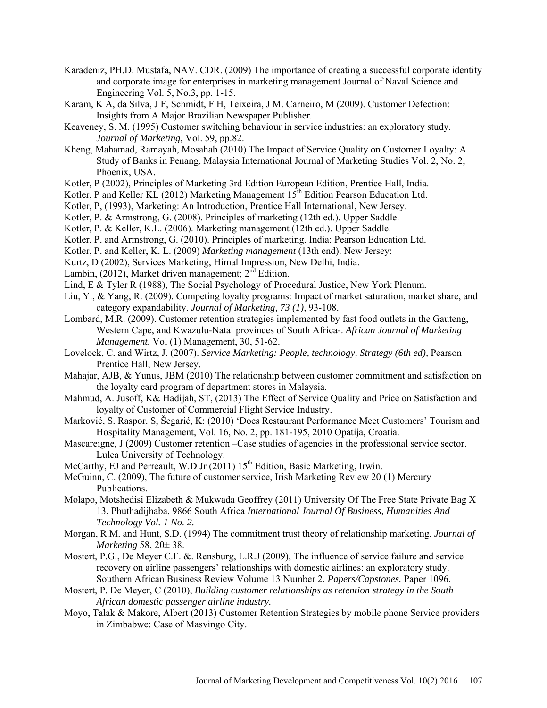- Karadeniz, PH.D. Mustafa, NAV. CDR. (2009) The importance of creating a successful corporate identity and corporate image for enterprises in marketing management Journal of Naval Science and Engineering Vol. 5, No.3, pp. 1-15.
- Karam, K A, da Silva, J F, Schmidt, F H, Teixeira, J M. Carneiro, M (2009). Customer Defection: Insights from A Major Brazilian Newspaper Publisher.
- Keaveney, S. M. (1995) Customer switching behaviour in service industries: an exploratory study. *Journal of Marketing*, Vol. 59, pp.82.
- Kheng, Mahamad, Ramayah, Mosahab (2010) The Impact of Service Quality on Customer Loyalty: A Study of Banks in Penang, Malaysia International Journal of Marketing Studies Vol. 2, No. 2; Phoenix, USA.
- Kotler, P (2002), Principles of Marketing 3rd Edition European Edition, Prentice Hall, India.
- Kotler, P and Keller KL (2012) Marketing Management  $15<sup>th</sup>$  Edition Pearson Education Ltd.
- Kotler, P, (1993), Marketing: An Introduction, Prentice Hall International, New Jersey.
- Kotler, P. & Armstrong, G. (2008). Principles of marketing (12th ed.). Upper Saddle.
- Kotler, P. & Keller, K.L. (2006). Marketing management (12th ed.). Upper Saddle.
- Kotler, P. and Armstrong, G. (2010). Principles of marketing. India: Pearson Education Ltd.
- Kotler, P. and Keller, K. L. (2009) *Marketing management* (13th end). New Jersey:
- Kurtz, D (2002), Services Marketing, Himal Impression, New Delhi, India.
- Lambin,  $(2012)$ , Market driven management;  $2<sup>nd</sup>$  Edition.
- Lind, E & Tyler R (1988), The Social Psychology of Procedural Justice, New York Plenum.
- Liu, Y., & Yang, R. (2009). Competing loyalty programs: Impact of market saturation, market share, and category expandability. *Journal of Marketing, 73 (1),* 93-108.
- Lombard, M.R. (2009). Customer retention strategies implemented by fast food outlets in the Gauteng, Western Cape, and Kwazulu-Natal provinces of South Africa-. *African Journal of Marketing Management.* Vol (1) Management, 30, 51-62.
- Lovelock, C. and Wirtz, J. (2007). *Service Marketing: People, technology, Strategy (6th ed), Pearson* Prentice Hall, New Jersey.
- Mahajar, AJB, & Yunus, JBM (2010) The relationship between customer commitment and satisfaction on the loyalty card program of department stores in Malaysia.
- Mahmud, A. Jusoff, K& Hadijah, ST, (2013) The Effect of Service Quality and Price on Satisfaction and loyalty of Customer of Commercial Flight Service Industry.
- Marković, S. Raspor. S, Šegarić, K: (2010) 'Does Restaurant Performance Meet Customers' Tourism and Hospitality Management, Vol. 16, No. 2, pp. 181-195, 2010 Opatija, Croatia.
- Mascareigne, J (2009) Customer retention –Case studies of agencies in the professional service sector. Lulea University of Technology.
- McCarthy, EJ and Perreault, W.D. Jr  $(2011)$  15<sup>th</sup> Edition, Basic Marketing, Irwin.
- McGuinn, C. (2009), The future of customer service, Irish Marketing Review 20 (1) Mercury Publications.
- Molapo, Motshedisi Elizabeth & Mukwada Geoffrey (2011) University Of The Free State Private Bag X 13, Phuthadijhaba, 9866 South Africa *International Journal Of Business, Humanities And Technology Vol. 1 No. 2.*
- Morgan, R.M. and Hunt, S.D. (1994) The commitment trust theory of relationship marketing. *Journal of Marketing* 58, 20± 38.
- Mostert, P.G., De Meyer C.F. &. Rensburg, L.R.J (2009), The influence of service failure and service recovery on airline passengers' relationships with domestic airlines: an exploratory study. Southern African Business Review Volume 13 Number 2. *Papers/Capstones.* Paper 1096.
- Mostert, P. De Meyer, C (2010), *Building customer relationships as retention strategy in the South African domestic passenger airline industry.*
- Moyo, Talak & Makore, Albert (2013) Customer Retention Strategies by mobile phone Service providers in Zimbabwe: Case of Masvingo City.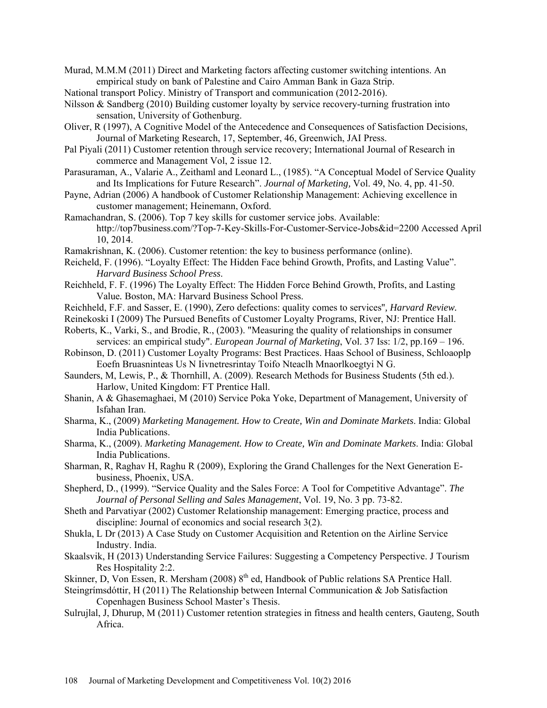Murad, M.M.M (2011) Direct and Marketing factors affecting customer switching intentions. An empirical study on bank of Palestine and Cairo Amman Bank in Gaza Strip.

- National transport Policy. Ministry of Transport and communication (2012-2016).
- Nilsson & Sandberg (2010) Building customer loyalty by service recovery-turning frustration into sensation, University of Gothenburg.
- Oliver, R (1997), A Cognitive Model of the Antecedence and Consequences of Satisfaction Decisions, Journal of Marketing Research, 17, September, 46, Greenwich, JAI Press.
- Pal Piyali (2011) Customer retention through service recovery; International Journal of Research in commerce and Management Vol, 2 issue 12.
- Parasuraman, A., Valarie A., Zeithaml and Leonard L., (1985). "A Conceptual Model of Service Quality and Its Implications for Future Research". *Journal of Marketing,* Vol. 49, No. 4, pp. 41-50.
- Payne, Adrian (2006) A handbook of Customer Relationship Management: Achieving excellence in customer management; Heinemann, Oxford.
- Ramachandran, S. (2006). Top 7 key skills for customer service jobs. Available: http://top7business.com/?Top-7-Key-Skills-For-Customer-Service-Jobs&id=2200 Accessed April 10, 2014.
- Ramakrishnan, K. (2006). Customer retention: the key to business performance (online).
- Reicheld, F. (1996). "Loyalty Effect: The Hidden Face behind Growth, Profits, and Lasting Value". *Harvard Business School Press*.
- Reichheld, F. F. (1996) The Loyalty Effect: The Hidden Force Behind Growth, Profits, and Lasting Value*.* Boston, MA: Harvard Business School Press.
- Reichheld, F.F. and Sasser, E. (1990), Zero defections: quality comes to services''*, Harvard Review.*
- Reinekoski I (2009) The Pursued Benefits of Customer Loyalty Programs, River, NJ: Prentice Hall.
- Roberts, K., Varki, S., and Brodie, R., (2003). "Measuring the quality of relationships in consumer services: an empirical study". *European Journal of Marketing*, Vol. 37 Iss: 1/2, pp.169 – 196.
- Robinson, D. (2011) Customer Loyalty Programs: Best Practices. Haas School of Business, Schloaoplp Eoefn Bruasninteas Us N Iivnetresrintay Toifo Nteaclh Mnaorlkoegtyi N G.
- Saunders, M, Lewis, P., & Thornhill, A. (2009). Research Methods for Business Students (5th ed.). Harlow, United Kingdom: FT Prentice Hall.
- Shanin, A & Ghasemaghaei, M (2010) Service Poka Yoke, Department of Management, University of Isfahan Iran.
- Sharma, K., (2009) *Marketing Management. How to Create, Win and Dominate Markets*. India: Global India Publications.
- Sharma, K., (2009). *Marketing Management. How to Create, Win and Dominate Markets*. India: Global India Publications.
- Sharman, R, Raghav H, Raghu R (2009), Exploring the Grand Challenges for the Next Generation Ebusiness, Phoenix, USA.
- Shepherd, D., (1999). "Service Quality and the Sales Force: A Tool for Competitive Advantage". *The Journal of Personal Selling and Sales Management*, Vol. 19, No. 3 pp. 73-82.
- Sheth and Parvatiyar (2002) Customer Relationship management: Emerging practice, process and discipline: Journal of economics and social research 3(2).
- Shukla, L Dr (2013) A Case Study on Customer Acquisition and Retention on the Airline Service Industry. India.
- Skaalsvik, H (2013) Understanding Service Failures: Suggesting a Competency Perspective. J Tourism Res Hospitality 2:2.
- Skinner, D, Von Essen, R. Mersham (2008) 8<sup>th</sup> ed, Handbook of Public relations SA Prentice Hall.
- Steingrímsdóttir, H (2011) The Relationship between Internal Communication & Job Satisfaction Copenhagen Business School Master's Thesis.
- Sulrujlal, J, Dhurup, M (2011) Customer retention strategies in fitness and health centers, Gauteng, South Africa.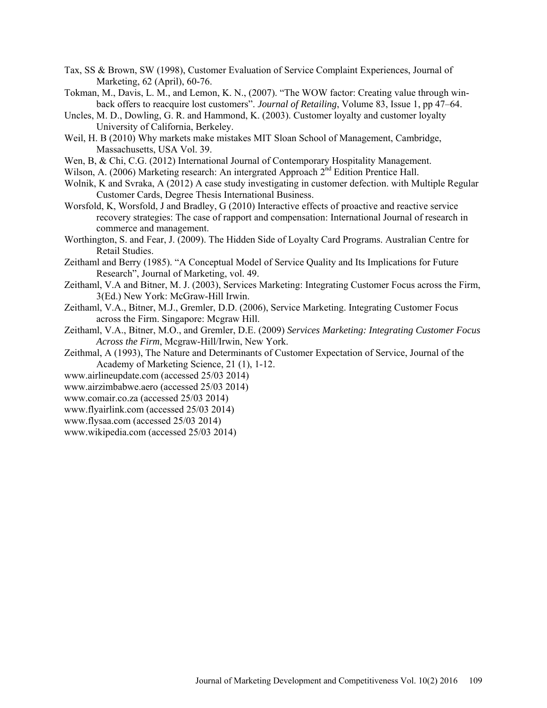- Tax, SS & Brown, SW (1998), Customer Evaluation of Service Complaint Experiences, Journal of Marketing, 62 (April), 60-76.
- Tokman, M., Davis, L. M., and Lemon, K. N., (2007). "The WOW factor: Creating value through winback offers to reacquire lost customers". *Journal of Retailing*, Volume 83, Issue 1, pp 47–64.
- Uncles, M. D., Dowling, G. R. and Hammond, K. (2003). Customer loyalty and customer loyalty University of California, Berkeley.
- Weil, H. B (2010) Why markets make mistakes MIT Sloan School of Management, Cambridge, Massachusetts, USA Vol. 39.
- Wen, B, & Chi, C.G. (2012) International Journal of Contemporary Hospitality Management.
- Wilson, A. (2006) Marketing research: An intergrated Approach 2<sup>nd</sup> Edition Prentice Hall.
- Wolnik, K and Svraka, A (2012) A case study investigating in customer defection. with Multiple Regular Customer Cards, Degree Thesis International Business.
- Worsfold, K, Worsfold, J and Bradley, G (2010) Interactive effects of proactive and reactive service recovery strategies: The case of rapport and compensation: International Journal of research in commerce and management.
- Worthington, S. and Fear, J. (2009). The Hidden Side of Loyalty Card Programs. Australian Centre for Retail Studies.
- Zeithaml and Berry (1985). "A Conceptual Model of Service Quality and Its Implications for Future Research", Journal of Marketing, vol. 49.
- Zeithaml, V.A and Bitner, M. J. (2003), Services Marketing: Integrating Customer Focus across the Firm, 3(Ed.) New York: McGraw-Hill Irwin.
- Zeithaml, V.A., Bitner, M.J., Gremler, D.D. (2006), Service Marketing. Integrating Customer Focus across the Firm. Singapore: Mcgraw Hill.
- Zeithaml, V.A., Bitner, M.O., and Gremler, D.E. (2009) *Services Marketing: Integrating Customer Focus Across the Firm*, Mcgraw-Hill/Irwin, New York.
- Zeithmal, A (1993), The Nature and Determinants of Customer Expectation of Service, Journal of the Academy of Marketing Science, 21 (1), 1-12.
- [www.airlineupdate.com](http://www.airlineupdate.com/) (accessed 25/03 2014)
- [www.airzimbabwe.aero](http://www.airzimbabwe.aero/) (accessed 25/03 2014)
- [www.comair.co.za](http://www.comair.co.za/) (accessed 25/03 2014)
- [www.flyairlink.com](http://www.flyairlink.com/) (accessed 25/03 2014)
- [www.flysaa.com](http://www.flysaa.com/) (accessed 25/03 2014)
- [www.wikipedia.com](http://www.wikipedia.com/) (accessed 25/03 2014)